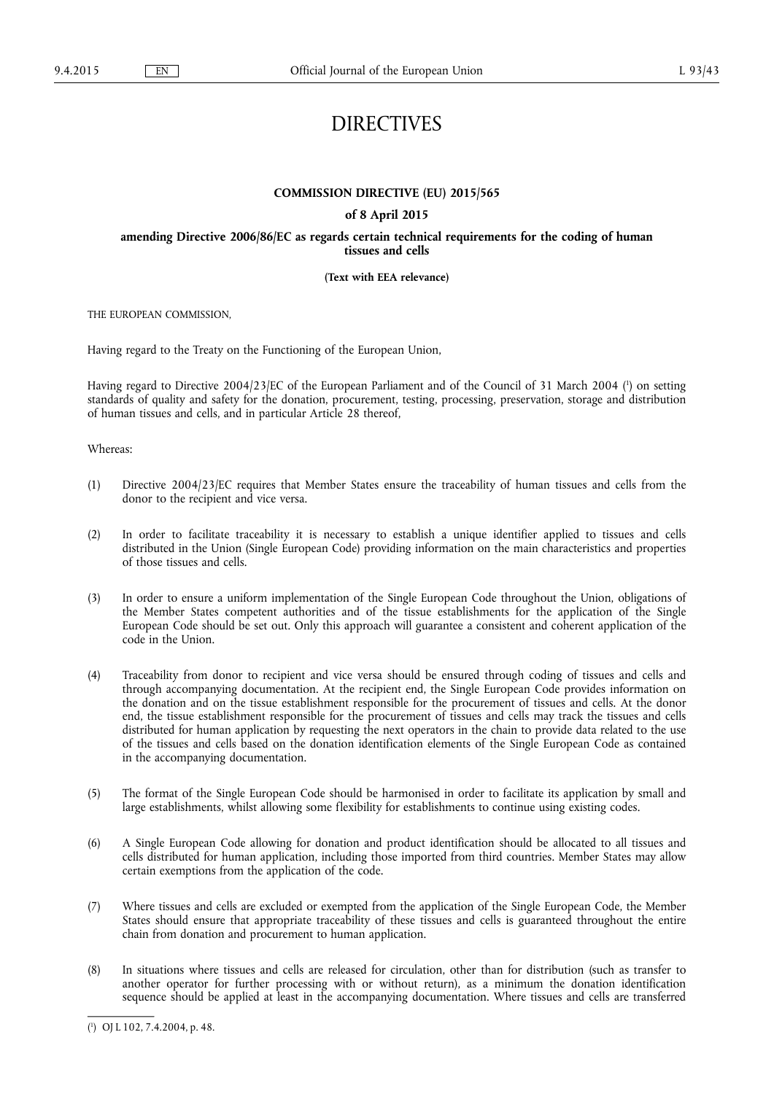# DIRECTIVES

# **COMMISSION DIRECTIVE (EU) 2015/565**

# **of 8 April 2015**

# **amending Directive 2006/86/EC as regards certain technical requirements for the coding of human tissues and cells**

# **(Text with EEA relevance)**

THE EUROPEAN COMMISSION,

Having regard to the Treaty on the Functioning of the European Union,

Having regard to Directive 2004/23/EC of the European Parliament and of the Council of 31 March 2004 ( 1 ) on setting standards of quality and safety for the donation, procurement, testing, processing, preservation, storage and distribution of human tissues and cells, and in particular Article 28 thereof,

Whereas:

- (1) Directive 2004/23/EC requires that Member States ensure the traceability of human tissues and cells from the donor to the recipient and vice versa.
- (2) In order to facilitate traceability it is necessary to establish a unique identifier applied to tissues and cells distributed in the Union (Single European Code) providing information on the main characteristics and properties of those tissues and cells.
- (3) In order to ensure a uniform implementation of the Single European Code throughout the Union, obligations of the Member States competent authorities and of the tissue establishments for the application of the Single European Code should be set out. Only this approach will guarantee a consistent and coherent application of the code in the Union.
- (4) Traceability from donor to recipient and vice versa should be ensured through coding of tissues and cells and through accompanying documentation. At the recipient end, the Single European Code provides information on the donation and on the tissue establishment responsible for the procurement of tissues and cells. At the donor end, the tissue establishment responsible for the procurement of tissues and cells may track the tissues and cells distributed for human application by requesting the next operators in the chain to provide data related to the use of the tissues and cells based on the donation identification elements of the Single European Code as contained in the accompanying documentation.
- (5) The format of the Single European Code should be harmonised in order to facilitate its application by small and large establishments, whilst allowing some flexibility for establishments to continue using existing codes.
- (6) A Single European Code allowing for donation and product identification should be allocated to all tissues and cells distributed for human application, including those imported from third countries. Member States may allow certain exemptions from the application of the code.
- (7) Where tissues and cells are excluded or exempted from the application of the Single European Code, the Member States should ensure that appropriate traceability of these tissues and cells is guaranteed throughout the entire chain from donation and procurement to human application.
- (8) In situations where tissues and cells are released for circulation, other than for distribution (such as transfer to another operator for further processing with or without return), as a minimum the donation identification sequence should be applied at least in the accompanying documentation. Where tissues and cells are transferred

<sup>(</sup> 1 ) OJ L 102, 7.4.2004, p. 48.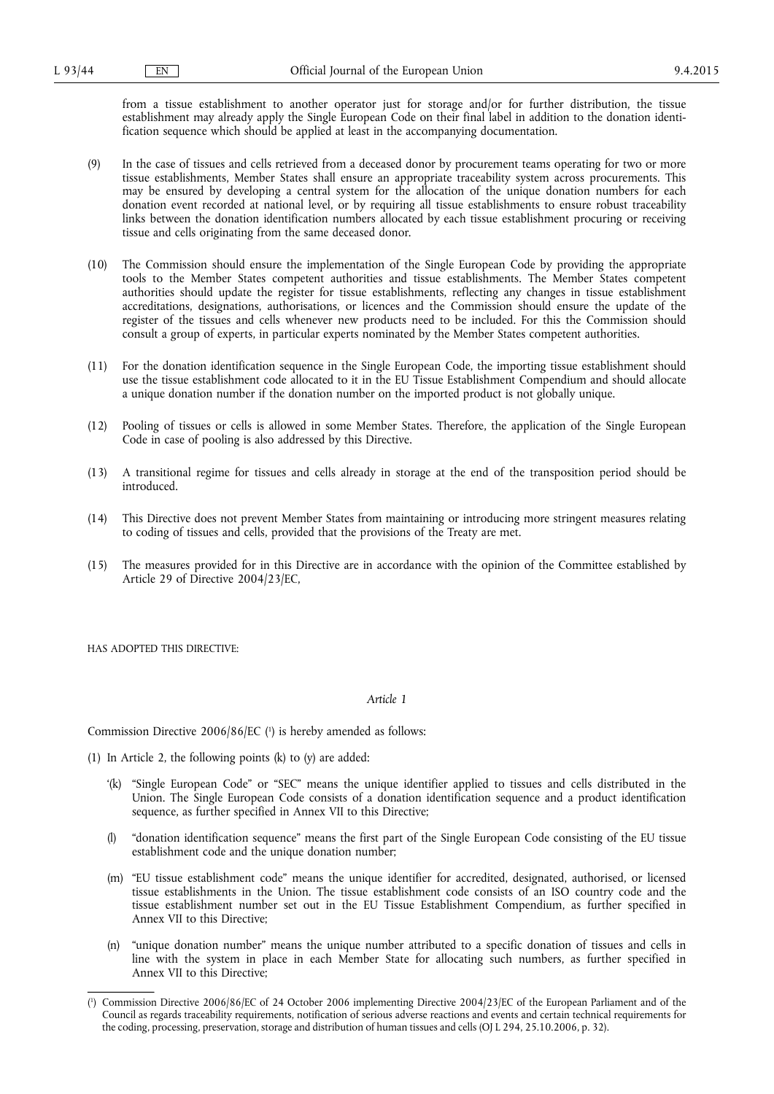from a tissue establishment to another operator just for storage and/or for further distribution, the tissue establishment may already apply the Single European Code on their final label in addition to the donation identification sequence which should be applied at least in the accompanying documentation.

- (9) In the case of tissues and cells retrieved from a deceased donor by procurement teams operating for two or more tissue establishments, Member States shall ensure an appropriate traceability system across procurements. This may be ensured by developing a central system for the allocation of the unique donation numbers for each donation event recorded at national level, or by requiring all tissue establishments to ensure robust traceability links between the donation identification numbers allocated by each tissue establishment procuring or receiving tissue and cells originating from the same deceased donor.
- (10) The Commission should ensure the implementation of the Single European Code by providing the appropriate tools to the Member States competent authorities and tissue establishments. The Member States competent authorities should update the register for tissue establishments, reflecting any changes in tissue establishment accreditations, designations, authorisations, or licences and the Commission should ensure the update of the register of the tissues and cells whenever new products need to be included. For this the Commission should consult a group of experts, in particular experts nominated by the Member States competent authorities.
- (11) For the donation identification sequence in the Single European Code, the importing tissue establishment should use the tissue establishment code allocated to it in the EU Tissue Establishment Compendium and should allocate a unique donation number if the donation number on the imported product is not globally unique.
- (12) Pooling of tissues or cells is allowed in some Member States. Therefore, the application of the Single European Code in case of pooling is also addressed by this Directive.
- (13) A transitional regime for tissues and cells already in storage at the end of the transposition period should be introduced.
- (14) This Directive does not prevent Member States from maintaining or introducing more stringent measures relating to coding of tissues and cells, provided that the provisions of the Treaty are met.
- (15) The measures provided for in this Directive are in accordance with the opinion of the Committee established by Article 29 of Directive 2004/23/EC,

HAS ADOPTED THIS DIRECTIVE:

#### *Article 1*

Commission Directive 2006/86/EC ( 1 ) is hereby amended as follows:

- (1) In Article 2, the following points (k) to (y) are added:
	- '(k) "Single European Code" or "SEC" means the unique identifier applied to tissues and cells distributed in the Union. The Single European Code consists of a donation identification sequence and a product identification sequence, as further specified in Annex VII to this Directive;
	- (l) "donation identification sequence" means the first part of the Single European Code consisting of the EU tissue establishment code and the unique donation number;
	- (m) "EU tissue establishment code" means the unique identifier for accredited, designated, authorised, or licensed tissue establishments in the Union. The tissue establishment code consists of an ISO country code and the tissue establishment number set out in the EU Tissue Establishment Compendium, as further specified in Annex VII to this Directive;
	- (n) "unique donation number" means the unique number attributed to a specific donation of tissues and cells in line with the system in place in each Member State for allocating such numbers, as further specified in Annex VII to this Directive;

<sup>(</sup> 1 ) Commission Directive 2006/86/EC of 24 October 2006 implementing Directive 2004/23/EC of the European Parliament and of the Council as regards traceability requirements, notification of serious adverse reactions and events and certain technical requirements for the coding, processing, preservation, storage and distribution of human tissues and cells (OJ L 294, 25.10.2006, p. 32).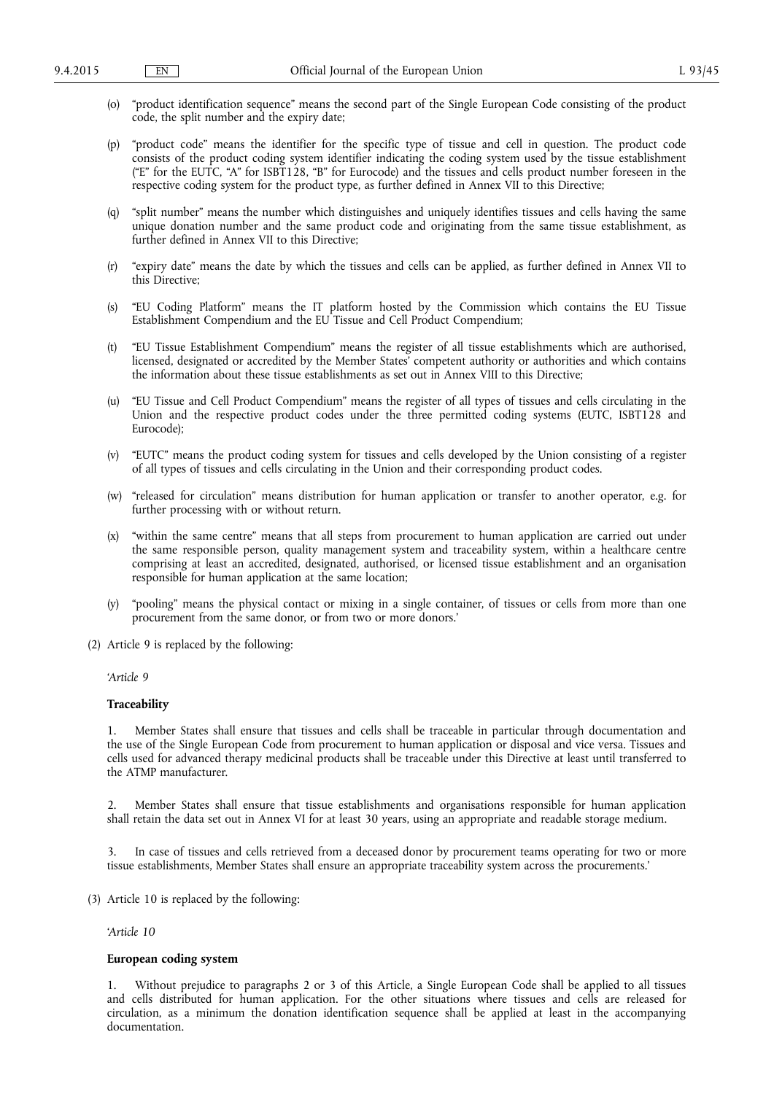- (o) "product identification sequence" means the second part of the Single European Code consisting of the product code, the split number and the expiry date;
- (p) "product code" means the identifier for the specific type of tissue and cell in question. The product code consists of the product coding system identifier indicating the coding system used by the tissue establishment ("E" for the EUTC, "A" for ISBT128, "B" for Eurocode) and the tissues and cells product number foreseen in the respective coding system for the product type, as further defined in Annex VII to this Directive;
- (q) "split number" means the number which distinguishes and uniquely identifies tissues and cells having the same unique donation number and the same product code and originating from the same tissue establishment, as further defined in Annex VII to this Directive;
- (r) "expiry date" means the date by which the tissues and cells can be applied, as further defined in Annex VII to this Directive;
- (s) "EU Coding Platform" means the IT platform hosted by the Commission which contains the EU Tissue Establishment Compendium and the EU Tissue and Cell Product Compendium;
- (t) "EU Tissue Establishment Compendium" means the register of all tissue establishments which are authorised, licensed, designated or accredited by the Member States' competent authority or authorities and which contains the information about these tissue establishments as set out in Annex VIII to this Directive;
- (u) "EU Tissue and Cell Product Compendium" means the register of all types of tissues and cells circulating in the Union and the respective product codes under the three permitted coding systems (EUTC, ISBT128 and Eurocode);
- (v) "EUTC" means the product coding system for tissues and cells developed by the Union consisting of a register of all types of tissues and cells circulating in the Union and their corresponding product codes.
- (w) "released for circulation" means distribution for human application or transfer to another operator, e.g. for further processing with or without return.
- (x) "within the same centre" means that all steps from procurement to human application are carried out under the same responsible person, quality management system and traceability system, within a healthcare centre comprising at least an accredited, designated, authorised, or licensed tissue establishment and an organisation responsible for human application at the same location;
- (y) "pooling" means the physical contact or mixing in a single container, of tissues or cells from more than one procurement from the same donor, or from two or more donors.'
- (2) Article 9 is replaced by the following:

#### *'Article 9*

#### **Traceability**

1. Member States shall ensure that tissues and cells shall be traceable in particular through documentation and the use of the Single European Code from procurement to human application or disposal and vice versa. Tissues and cells used for advanced therapy medicinal products shall be traceable under this Directive at least until transferred to the ATMP manufacturer.

2. Member States shall ensure that tissue establishments and organisations responsible for human application shall retain the data set out in Annex VI for at least 30 years, using an appropriate and readable storage medium.

In case of tissues and cells retrieved from a deceased donor by procurement teams operating for two or more tissue establishments, Member States shall ensure an appropriate traceability system across the procurements.'

(3) Article 10 is replaced by the following:

# *'Article 10*

# **European coding system**

1. Without prejudice to paragraphs 2 or 3 of this Article, a Single European Code shall be applied to all tissues and cells distributed for human application. For the other situations where tissues and cells are released for circulation, as a minimum the donation identification sequence shall be applied at least in the accompanying documentation.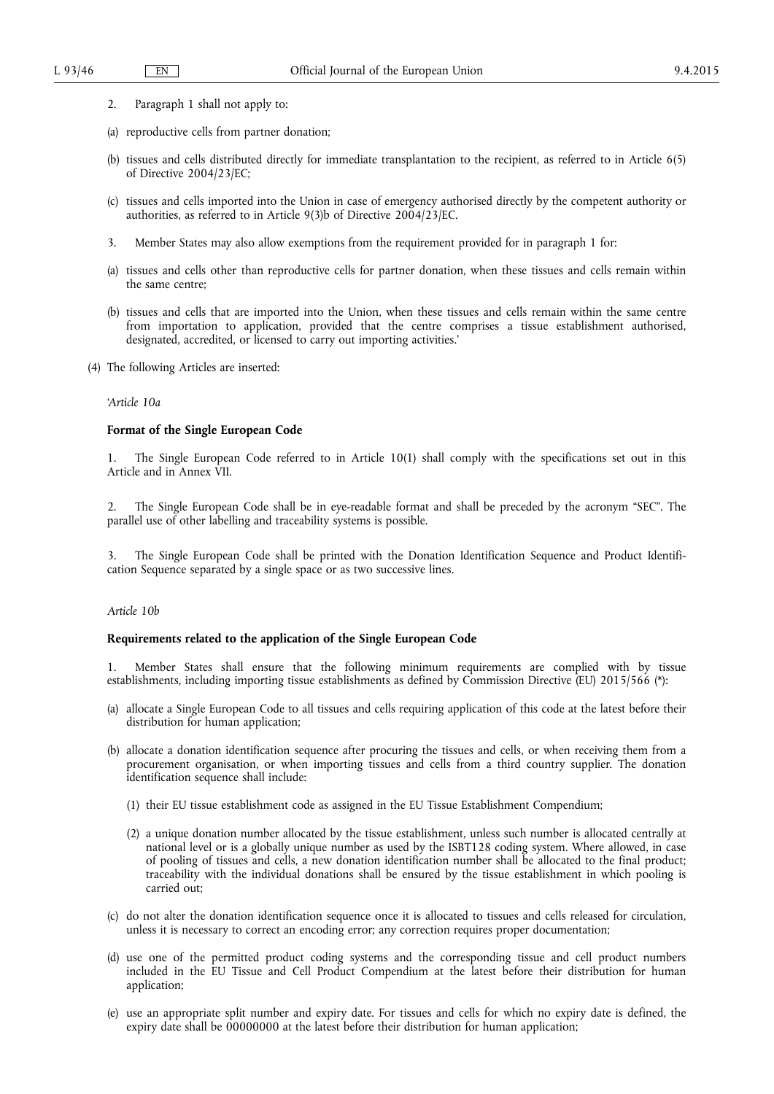- 2. Paragraph 1 shall not apply to:
- (a) reproductive cells from partner donation;
- (b) tissues and cells distributed directly for immediate transplantation to the recipient, as referred to in Article 6(5) of Directive 2004/23/EC;
- (c) tissues and cells imported into the Union in case of emergency authorised directly by the competent authority or authorities, as referred to in Article 9(3)b of Directive 2004/23/EC.
- 3. Member States may also allow exemptions from the requirement provided for in paragraph 1 for:
- (a) tissues and cells other than reproductive cells for partner donation, when these tissues and cells remain within the same centre;
- (b) tissues and cells that are imported into the Union, when these tissues and cells remain within the same centre from importation to application, provided that the centre comprises a tissue establishment authorised, designated, accredited, or licensed to carry out importing activities.'
- (4) The following Articles are inserted:

#### *'Article 10a*

# **Format of the Single European Code**

1. The Single European Code referred to in Article 10(1) shall comply with the specifications set out in this Article and in Annex VII.

2. The Single European Code shall be in eye-readable format and shall be preceded by the acronym "SEC". The parallel use of other labelling and traceability systems is possible.

3. The Single European Code shall be printed with the Donation Identification Sequence and Product Identification Sequence separated by a single space or as two successive lines.

#### *Article 10b*

#### **Requirements related to the application of the Single European Code**

1. Member States shall ensure that the following minimum requirements are complied with by tissue establishments, including importing tissue establishments as defined by Commission Directive (EU) 2015/566 (\*):

- (a) allocate a Single European Code to all tissues and cells requiring application of this code at the latest before their distribution for human application;
- (b) allocate a donation identification sequence after procuring the tissues and cells, or when receiving them from a procurement organisation, or when importing tissues and cells from a third country supplier. The donation identification sequence shall include:
	- (1) their EU tissue establishment code as assigned in the EU Tissue Establishment Compendium;
	- (2) a unique donation number allocated by the tissue establishment, unless such number is allocated centrally at national level or is a globally unique number as used by the ISBT128 coding system. Where allowed, in case of pooling of tissues and cells, a new donation identification number shall be allocated to the final product; traceability with the individual donations shall be ensured by the tissue establishment in which pooling is carried out;
- (c) do not alter the donation identification sequence once it is allocated to tissues and cells released for circulation, unless it is necessary to correct an encoding error; any correction requires proper documentation;
- (d) use one of the permitted product coding systems and the corresponding tissue and cell product numbers included in the EU Tissue and Cell Product Compendium at the latest before their distribution for human application;
- (e) use an appropriate split number and expiry date. For tissues and cells for which no expiry date is defined, the expiry date shall be 00000000 at the latest before their distribution for human application;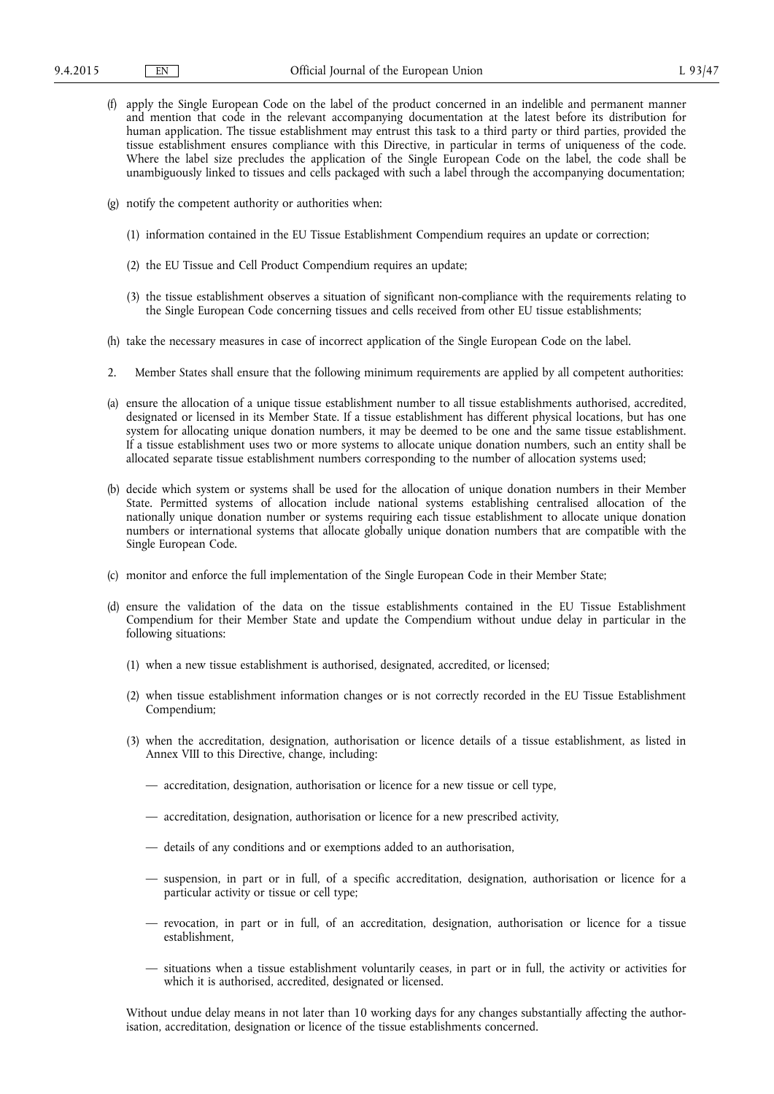- (f) apply the Single European Code on the label of the product concerned in an indelible and permanent manner and mention that code in the relevant accompanying documentation at the latest before its distribution for human application. The tissue establishment may entrust this task to a third party or third parties, provided the tissue establishment ensures compliance with this Directive, in particular in terms of uniqueness of the code. Where the label size precludes the application of the Single European Code on the label, the code shall be unambiguously linked to tissues and cells packaged with such a label through the accompanying documentation;
- (g) notify the competent authority or authorities when:
	- (1) information contained in the EU Tissue Establishment Compendium requires an update or correction;
	- (2) the EU Tissue and Cell Product Compendium requires an update;
	- (3) the tissue establishment observes a situation of significant non-compliance with the requirements relating to the Single European Code concerning tissues and cells received from other EU tissue establishments;
- (h) take the necessary measures in case of incorrect application of the Single European Code on the label.
- 2. Member States shall ensure that the following minimum requirements are applied by all competent authorities:
- (a) ensure the allocation of a unique tissue establishment number to all tissue establishments authorised, accredited, designated or licensed in its Member State. If a tissue establishment has different physical locations, but has one system for allocating unique donation numbers, it may be deemed to be one and the same tissue establishment. If a tissue establishment uses two or more systems to allocate unique donation numbers, such an entity shall be allocated separate tissue establishment numbers corresponding to the number of allocation systems used;
- (b) decide which system or systems shall be used for the allocation of unique donation numbers in their Member State. Permitted systems of allocation include national systems establishing centralised allocation of the nationally unique donation number or systems requiring each tissue establishment to allocate unique donation numbers or international systems that allocate globally unique donation numbers that are compatible with the Single European Code.
- (c) monitor and enforce the full implementation of the Single European Code in their Member State;
- (d) ensure the validation of the data on the tissue establishments contained in the EU Tissue Establishment Compendium for their Member State and update the Compendium without undue delay in particular in the following situations:
	- (1) when a new tissue establishment is authorised, designated, accredited, or licensed;
	- (2) when tissue establishment information changes or is not correctly recorded in the EU Tissue Establishment Compendium;
	- (3) when the accreditation, designation, authorisation or licence details of a tissue establishment, as listed in Annex VIII to this Directive, change, including:
		- accreditation, designation, authorisation or licence for a new tissue or cell type,
		- accreditation, designation, authorisation or licence for a new prescribed activity,
		- details of any conditions and or exemptions added to an authorisation,
		- suspension, in part or in full, of a specific accreditation, designation, authorisation or licence for a particular activity or tissue or cell type;
		- revocation, in part or in full, of an accreditation, designation, authorisation or licence for a tissue establishment,
		- situations when a tissue establishment voluntarily ceases, in part or in full, the activity or activities for which it is authorised, accredited, designated or licensed.

Without undue delay means in not later than 10 working days for any changes substantially affecting the authorisation, accreditation, designation or licence of the tissue establishments concerned.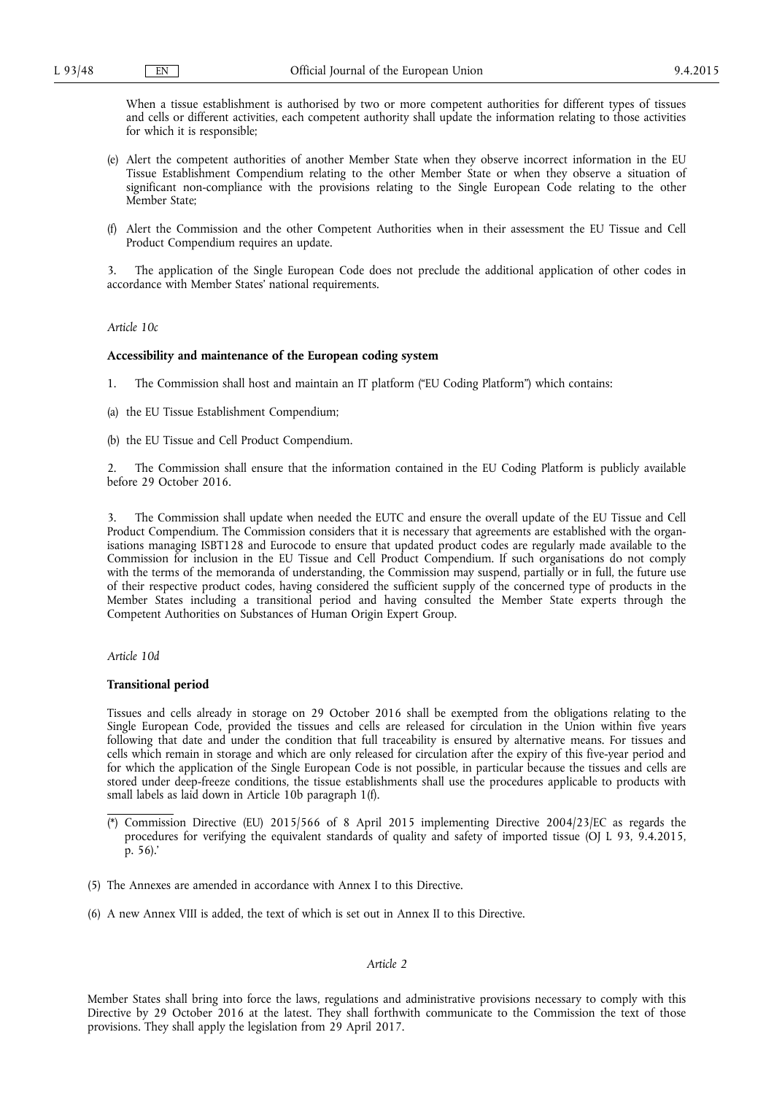When a tissue establishment is authorised by two or more competent authorities for different types of tissues and cells or different activities, each competent authority shall update the information relating to those activities for which it is responsible;

- (e) Alert the competent authorities of another Member State when they observe incorrect information in the EU Tissue Establishment Compendium relating to the other Member State or when they observe a situation of significant non-compliance with the provisions relating to the Single European Code relating to the other Member State;
- (f) Alert the Commission and the other Competent Authorities when in their assessment the EU Tissue and Cell Product Compendium requires an update.

3. The application of the Single European Code does not preclude the additional application of other codes in accordance with Member States' national requirements.

#### *Article 10c*

#### **Accessibility and maintenance of the European coding system**

1. The Commission shall host and maintain an IT platform ("EU Coding Platform") which contains:

(a) the EU Tissue Establishment Compendium;

(b) the EU Tissue and Cell Product Compendium.

2. The Commission shall ensure that the information contained in the EU Coding Platform is publicly available before 29 October 2016.

3. The Commission shall update when needed the EUTC and ensure the overall update of the EU Tissue and Cell Product Compendium. The Commission considers that it is necessary that agreements are established with the organisations managing ISBT128 and Eurocode to ensure that updated product codes are regularly made available to the Commission for inclusion in the EU Tissue and Cell Product Compendium. If such organisations do not comply with the terms of the memoranda of understanding, the Commission may suspend, partially or in full, the future use of their respective product codes, having considered the sufficient supply of the concerned type of products in the Member States including a transitional period and having consulted the Member State experts through the Competent Authorities on Substances of Human Origin Expert Group.

# *Article 10d*

#### **Transitional period**

Tissues and cells already in storage on 29 October 2016 shall be exempted from the obligations relating to the Single European Code, provided the tissues and cells are released for circulation in the Union within five years following that date and under the condition that full traceability is ensured by alternative means. For tissues and cells which remain in storage and which are only released for circulation after the expiry of this five-year period and for which the application of the Single European Code is not possible, in particular because the tissues and cells are stored under deep-freeze conditions, the tissue establishments shall use the procedures applicable to products with small labels as laid down in Article 10b paragraph 1(f).

- (5) The Annexes are amended in accordance with Annex I to this Directive.
- (6) A new Annex VIII is added, the text of which is set out in Annex II to this Directive.

# *Article 2*

Member States shall bring into force the laws, regulations and administrative provisions necessary to comply with this Directive by 29 October 2016 at the latest. They shall forthwith communicate to the Commission the text of those provisions. They shall apply the legislation from 29 April 2017.

<sup>(\*)</sup> Commission Directive (EU) 2015/566 of 8 April 2015 implementing Directive 2004/23/EC as regards the procedures for verifying the equivalent standards of quality and safety of imported tissue (OJ L 93, 9.4.2015, p. 56).'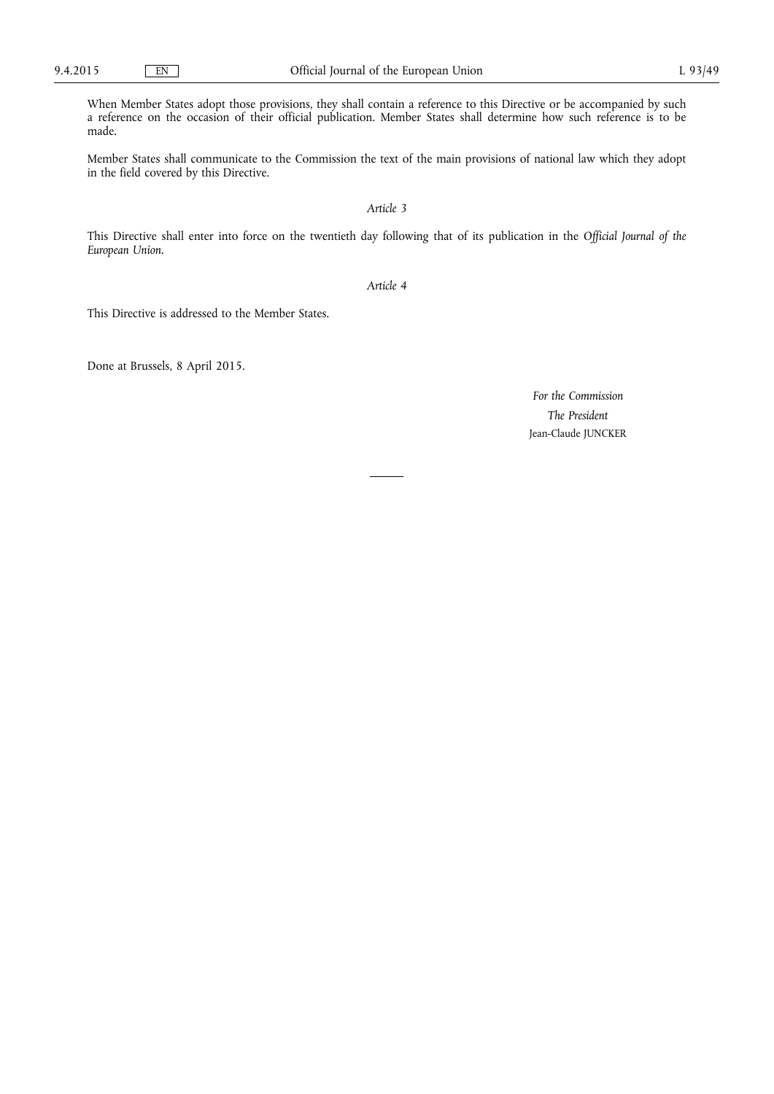When Member States adopt those provisions, they shall contain a reference to this Directive or be accompanied by such a reference on the occasion of their official publication. Member States shall determine how such reference is to be made.

Member States shall communicate to the Commission the text of the main provisions of national law which they adopt in the field covered by this Directive.

# *Article 3*

This Directive shall enter into force on the twentieth day following that of its publication in the *Official Journal of the European Union*.

*Article 4* 

This Directive is addressed to the Member States.

Done at Brussels, 8 April 2015.

*For the Commission The President*  Jean-Claude JUNCKER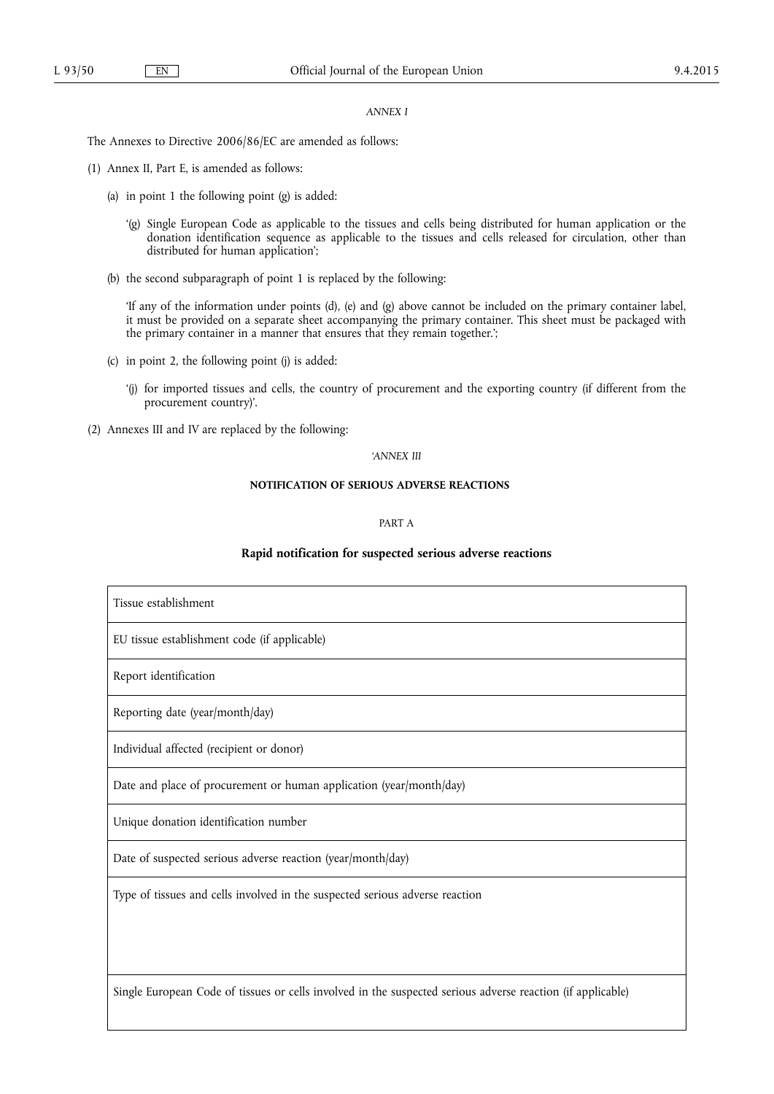# *ANNEX I*

The Annexes to Directive 2006/86/EC are amended as follows:

- (1) Annex II, Part E, is amended as follows:
	- (a) in point 1 the following point (g) is added:
		- '(g) Single European Code as applicable to the tissues and cells being distributed for human application or the donation identification sequence as applicable to the tissues and cells released for circulation, other than distributed for human application';
	- (b) the second subparagraph of point 1 is replaced by the following:

'If any of the information under points (d), (e) and (g) above cannot be included on the primary container label, it must be provided on a separate sheet accompanying the primary container. This sheet must be packaged with the primary container in a manner that ensures that they remain together.';

- (c) in point 2, the following point (j) is added:
	- '(j) for imported tissues and cells, the country of procurement and the exporting country (if different from the procurement country)'.
- (2) Annexes III and IV are replaced by the following:

# *'ANNEX III*

# **NOTIFICATION OF SERIOUS ADVERSE REACTIONS**

# PART A

# **Rapid notification for suspected serious adverse reactions**

| Tissue establishment                                                                                        |
|-------------------------------------------------------------------------------------------------------------|
| EU tissue establishment code (if applicable)                                                                |
| Report identification                                                                                       |
| Reporting date (year/month/day)                                                                             |
| Individual affected (recipient or donor)                                                                    |
| Date and place of procurement or human application (year/month/day)                                         |
| Unique donation identification number                                                                       |
| Date of suspected serious adverse reaction (year/month/day)                                                 |
| Type of tissues and cells involved in the suspected serious adverse reaction                                |
|                                                                                                             |
|                                                                                                             |
| Single European Code of tissues or cells involved in the suspected serious adverse reaction (if applicable) |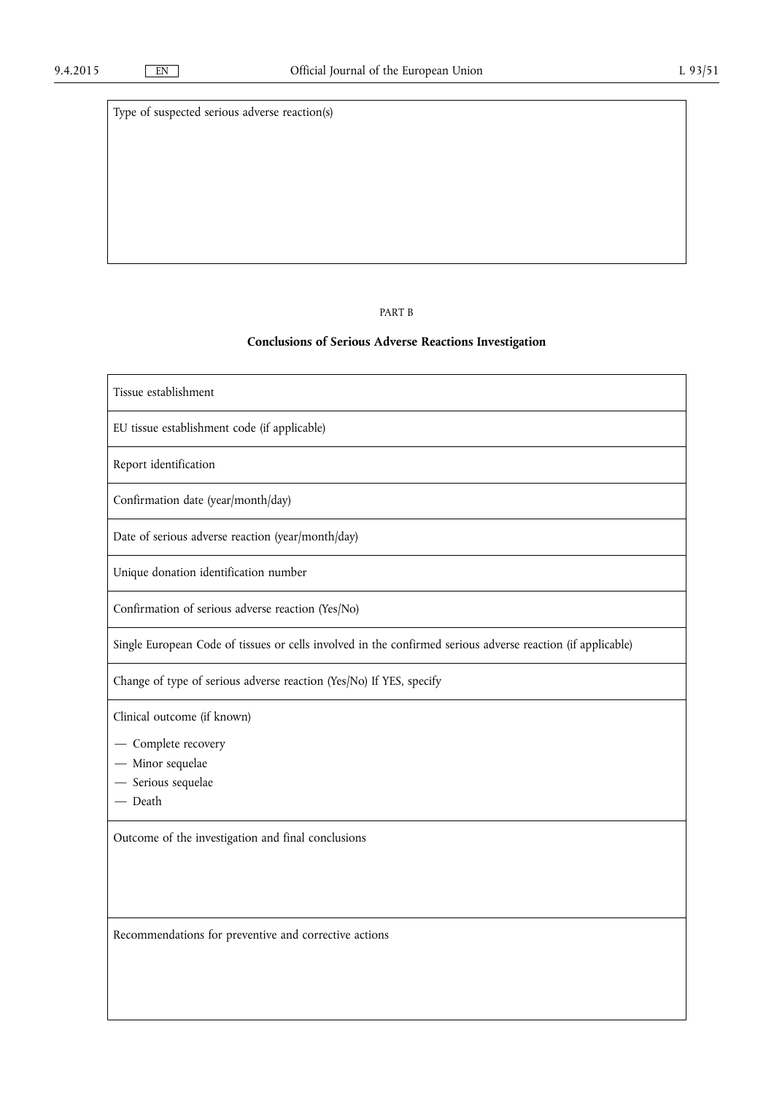Type of suspected serious adverse reaction(s)

# PART B

# **Conclusions of Serious Adverse Reactions Investigation**

| Tissue establishment                                                                                        |
|-------------------------------------------------------------------------------------------------------------|
| EU tissue establishment code (if applicable)                                                                |
| Report identification                                                                                       |
| Confirmation date (year/month/day)                                                                          |
| Date of serious adverse reaction (year/month/day)                                                           |
| Unique donation identification number                                                                       |
| Confirmation of serious adverse reaction (Yes/No)                                                           |
| Single European Code of tissues or cells involved in the confirmed serious adverse reaction (if applicable) |
| Change of type of serious adverse reaction (Yes/No) If YES, specify                                         |
| Clinical outcome (if known)                                                                                 |
| - Complete recovery                                                                                         |
| - Minor sequelae                                                                                            |
| - Serious sequelae                                                                                          |
| - Death                                                                                                     |
| Outcome of the investigation and final conclusions                                                          |
|                                                                                                             |
|                                                                                                             |
| Recommendations for preventive and corrective actions                                                       |
|                                                                                                             |
|                                                                                                             |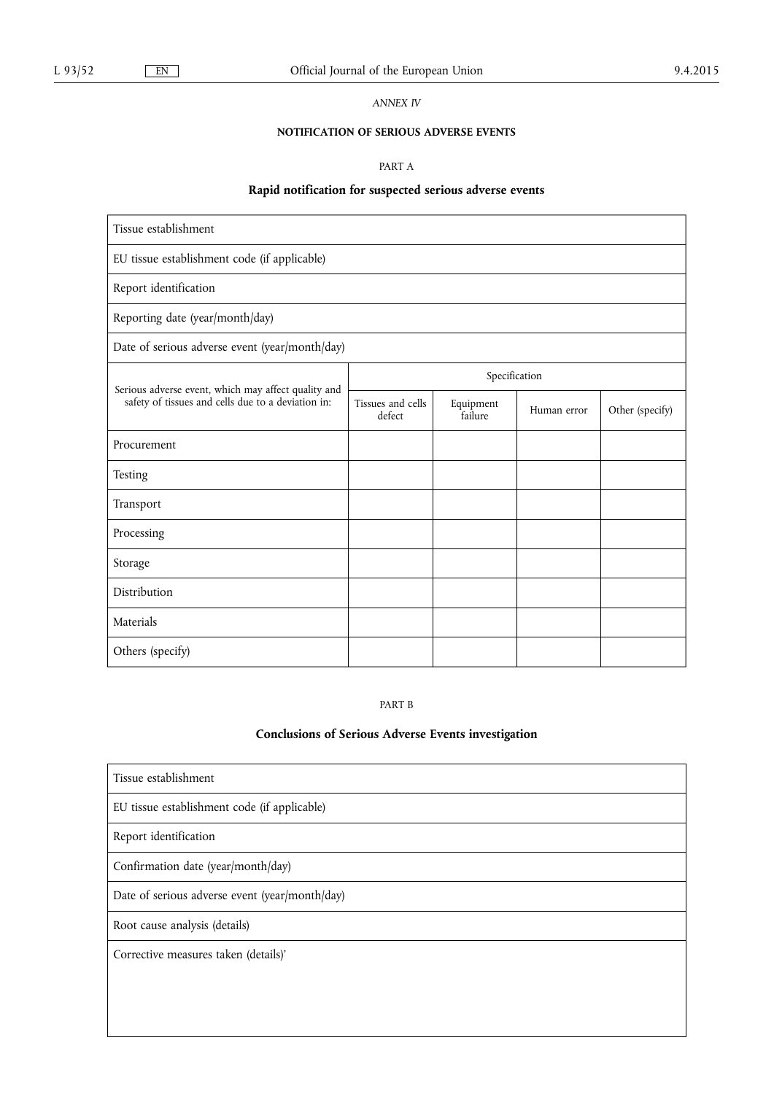*ANNEX IV* 

# **NOTIFICATION OF SERIOUS ADVERSE EVENTS**

PART A

# **Rapid notification for suspected serious adverse events**

| Tissue establishment                                                                                      |                             |                             |             |                 |  |  |  |  |
|-----------------------------------------------------------------------------------------------------------|-----------------------------|-----------------------------|-------------|-----------------|--|--|--|--|
| EU tissue establishment code (if applicable)                                                              |                             |                             |             |                 |  |  |  |  |
| Report identification                                                                                     |                             |                             |             |                 |  |  |  |  |
| Reporting date (year/month/day)                                                                           |                             |                             |             |                 |  |  |  |  |
| Date of serious adverse event (year/month/day)                                                            |                             |                             |             |                 |  |  |  |  |
| Serious adverse event, which may affect quality and<br>safety of tissues and cells due to a deviation in: | Specification               |                             |             |                 |  |  |  |  |
|                                                                                                           | Tissues and cells<br>defect | Equipment<br><u>Îailure</u> | Human error | Other (specify) |  |  |  |  |
| Procurement                                                                                               |                             |                             |             |                 |  |  |  |  |
| Testing                                                                                                   |                             |                             |             |                 |  |  |  |  |
| Transport                                                                                                 |                             |                             |             |                 |  |  |  |  |
| Processing                                                                                                |                             |                             |             |                 |  |  |  |  |
| Storage                                                                                                   |                             |                             |             |                 |  |  |  |  |
| Distribution                                                                                              |                             |                             |             |                 |  |  |  |  |
| Materials                                                                                                 |                             |                             |             |                 |  |  |  |  |
| Others (specify)                                                                                          |                             |                             |             |                 |  |  |  |  |

PART B

# **Conclusions of Serious Adverse Events investigation**

| Tissue establishment                           |
|------------------------------------------------|
| EU tissue establishment code (if applicable)   |
| Report identification                          |
| Confirmation date (year/month/day)             |
| Date of serious adverse event (year/month/day) |
| Root cause analysis (details)                  |
| Corrective measures taken (details)'           |
|                                                |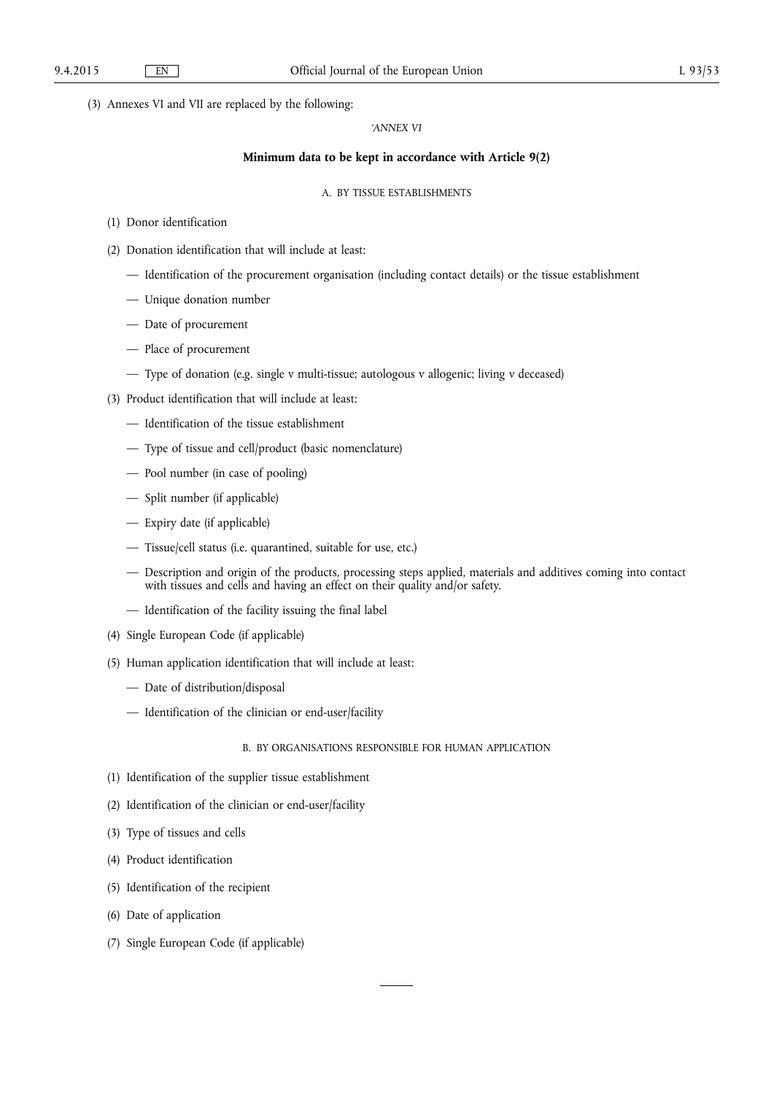(3) Annexes VI and VII are replaced by the following:

# *'ANNEX VI*

# **Minimum data to be kept in accordance with Article 9(2)**

#### A. BY TISSUE ESTABLISHMENTS

- (1) Donor identification
- (2) Donation identification that will include at least:
	- Identification of the procurement organisation (including contact details) or the tissue establishment
	- Unique donation number
	- Date of procurement
	- Place of procurement
	- Type of donation (e.g. single v multi-tissue; autologous v allogenic; living v deceased)
- (3) Product identification that will include at least:
	- Identification of the tissue establishment
	- Type of tissue and cell/product (basic nomenclature)
	- Pool number (in case of pooling)
	- Split number (if applicable)
	- Expiry date (if applicable)
	- Tissue/cell status (i.e. quarantined, suitable for use, etc.)
	- Description and origin of the products, processing steps applied, materials and additives coming into contact with tissues and cells and having an effect on their quality and/or safety.
	- Identification of the facility issuing the final label
- (4) Single European Code (if applicable)
- (5) Human application identification that will include at least:
	- Date of distribution/disposal
	- Identification of the clinician or end-user/facility

# B. BY ORGANISATIONS RESPONSIBLE FOR HUMAN APPLICATION

- (1) Identification of the supplier tissue establishment
- (2) Identification of the clinician or end-user/facility
- (3) Type of tissues and cells
- (4) Product identification
- (5) Identification of the recipient
- (6) Date of application
- (7) Single European Code (if applicable)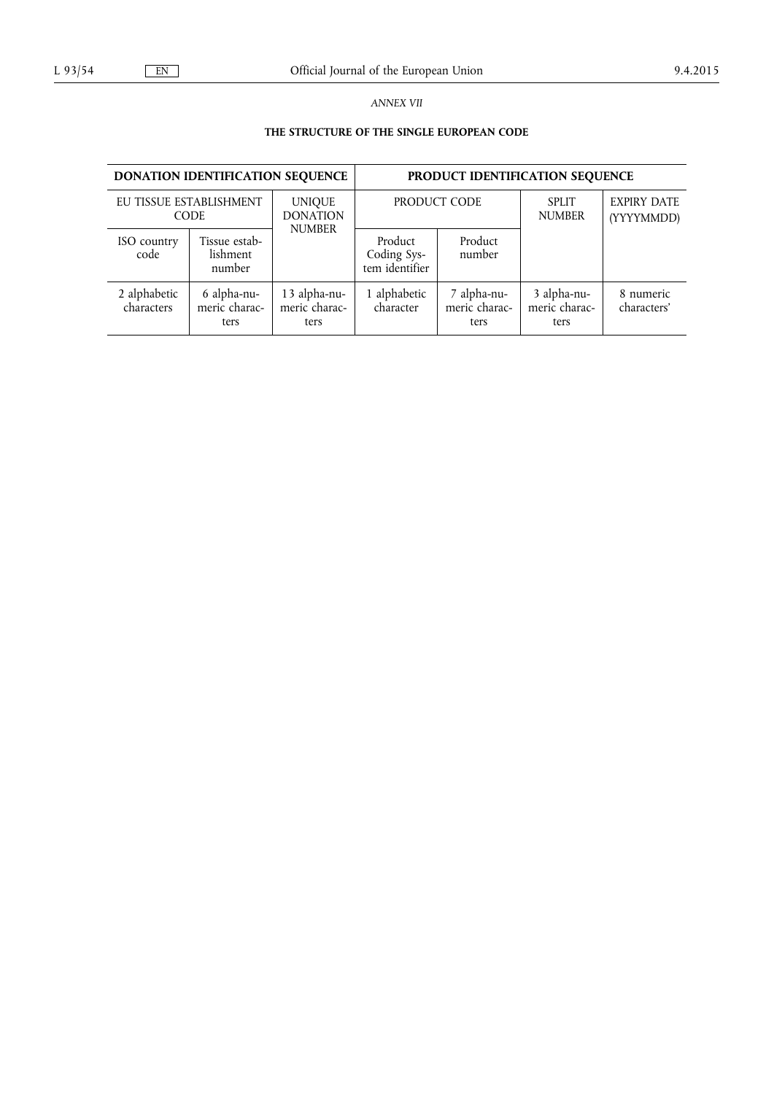*ANNEX VII* 

# **THE STRUCTURE OF THE SINGLE EUROPEAN CODE**

| <b>DONATION IDENTIFICATION SEQUENCE</b> |                                        |                                       | PRODUCT IDENTIFICATION SEQUENCE          |                                      |                                      |                                  |
|-----------------------------------------|----------------------------------------|---------------------------------------|------------------------------------------|--------------------------------------|--------------------------------------|----------------------------------|
|                                         | EU TISSUE ESTABLISHMENT<br><b>CODE</b> | <b>UNIQUE</b><br><b>DONATION</b>      | PRODUCT CODE                             |                                      | <b>SPLIT</b><br><b>NUMBER</b>        | <b>EXPIRY DATE</b><br>(YYYYMMDD) |
| ISO country<br>code                     | Tissue estab-<br>lishment<br>number    | <b>NUMBER</b>                         | Product<br>Coding Sys-<br>tem identifier | Product<br>number                    |                                      |                                  |
| 2 alphabetic<br>characters              | 6 alpha-nu-<br>meric charac-<br>ters   | 13 alpha-nu-<br>meric charac-<br>ters | 1 alphabetic<br>character                | 7 alpha-nu-<br>meric charac-<br>ters | 3 alpha-nu-<br>meric charac-<br>ters | 8 numeric<br>characters'         |